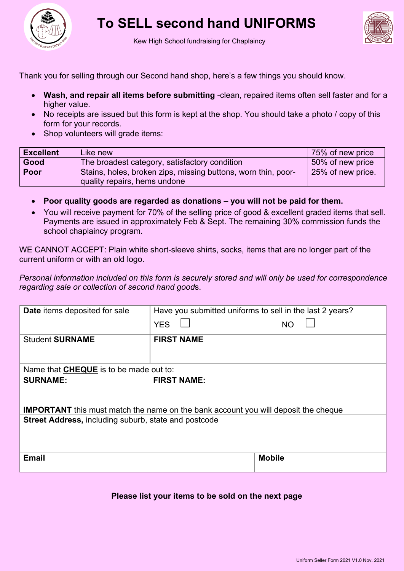

## **To SELL second hand UNIFORMS**



Kew High School fundraising for Chaplaincy

Thank you for selling through our Second hand shop, here's a few things you should know.

- **Wash, and repair all items before submitting** -clean, repaired items often sell faster and for a higher value.
- No receipts are issued but this form is kept at the shop. You should take a photo / copy of this form for your records.
- Shop volunteers will grade items:

| <b>Excellent</b> | Like new                                                      | 75% of new price  |
|------------------|---------------------------------------------------------------|-------------------|
| Good             | The broadest category, satisfactory condition                 | 50% of new price  |
| Poor             | Stains, holes, broken zips, missing buttons, worn thin, poor- | 25% of new price. |
|                  | quality repairs, hems undone                                  |                   |

- **Poor quality goods are regarded as donations – you will not be paid for them.**
- You will receive payment for 70% of the selling price of good & excellent graded items that sell. Payments are issued in approximately Feb & Sept. The remaining 30% commission funds the school chaplaincy program.

WE CANNOT ACCEPT: Plain white short-sleeve shirts, socks, items that are no longer part of the current uniform or with an old logo.

*Personal information included on this form is securely stored and will only be used for correspondence regarding sale or collection of second hand good*s.

| <b>Date</b> items deposited for sale                                                      | Have you submitted uniforms to sell in the last 2 years? |               |  |  |  |  |  |  |  |
|-------------------------------------------------------------------------------------------|----------------------------------------------------------|---------------|--|--|--|--|--|--|--|
|                                                                                           | <b>YES</b>                                               | NΟ            |  |  |  |  |  |  |  |
| <b>Student SURNAME</b>                                                                    | <b>FIRST NAME</b>                                        |               |  |  |  |  |  |  |  |
| Name that <b>CHEQUE</b> is to be made out to:                                             |                                                          |               |  |  |  |  |  |  |  |
| <b>SURNAME:</b>                                                                           | <b>FIRST NAME:</b>                                       |               |  |  |  |  |  |  |  |
|                                                                                           |                                                          |               |  |  |  |  |  |  |  |
| <b>IMPORTANT</b> this must match the name on the bank account you will deposit the cheque |                                                          |               |  |  |  |  |  |  |  |
| <b>Street Address, including suburb, state and postcode</b>                               |                                                          |               |  |  |  |  |  |  |  |
|                                                                                           |                                                          |               |  |  |  |  |  |  |  |
| <b>Email</b>                                                                              |                                                          | <b>Mobile</b> |  |  |  |  |  |  |  |
|                                                                                           |                                                          |               |  |  |  |  |  |  |  |

## **Please list your items to be sold on the next page**